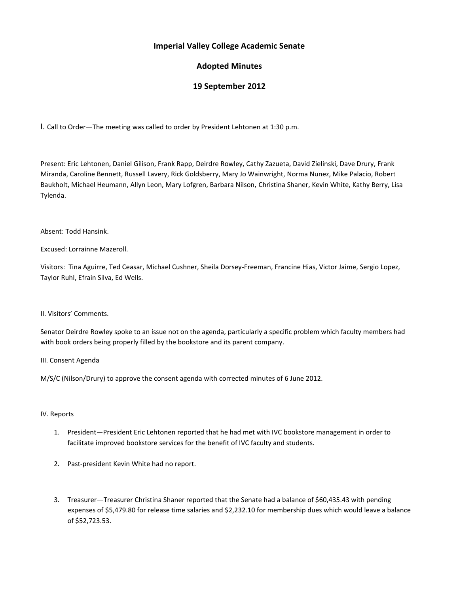## **Imperial Valley College Academic Senate**

# **Adopted Minutes**

# **19 September 2012**

I. Call to Order—The meeting was called to order by President Lehtonen at 1:30 p.m.

Present: Eric Lehtonen, Daniel Gilison, Frank Rapp, Deirdre Rowley, Cathy Zazueta, David Zielinski, Dave Drury, Frank Miranda, Caroline Bennett, Russell Lavery, Rick Goldsberry, Mary Jo Wainwright, Norma Nunez, Mike Palacio, Robert Baukholt, Michael Heumann, Allyn Leon, Mary Lofgren, Barbara Nilson, Christina Shaner, Kevin White, Kathy Berry, Lisa Tylenda.

Absent: Todd Hansink.

Excused: Lorrainne Mazeroll.

Visitors: Tina Aguirre, Ted Ceasar, Michael Cushner, Sheila Dorsey-Freeman, Francine Hias, Victor Jaime, Sergio Lopez, Taylor Ruhl, Efrain Silva, Ed Wells.

II. Visitors' Comments.

Senator Deirdre Rowley spoke to an issue not on the agenda, particularly a specific problem which faculty members had with book orders being properly filled by the bookstore and its parent company.

III. Consent Agenda

M/S/C (Nilson/Drury) to approve the consent agenda with corrected minutes of 6 June 2012.

### IV. Reports

- 1. President—President Eric Lehtonen reported that he had met with IVC bookstore management in order to facilitate improved bookstore services for the benefit of IVC faculty and students.
- 2. Past-president Kevin White had no report.
- 3. Treasurer—Treasurer Christina Shaner reported that the Senate had a balance of \$60,435.43 with pending expenses of \$5,479.80 for release time salaries and \$2,232.10 for membership dues which would leave a balance of \$52,723.53.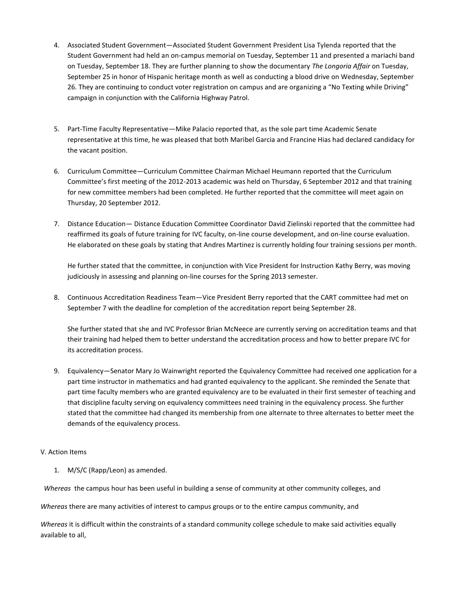- 4. Associated Student Government—Associated Student Government President Lisa Tylenda reported that the Student Government had held an on-campus memorial on Tuesday, September 11 and presented a mariachi band on Tuesday, September 18. They are further planning to show the documentary *The Longoria Affair* on Tuesday, September 25 in honor of Hispanic heritage month as well as conducting a blood drive on Wednesday, September 26. They are continuing to conduct voter registration on campus and are organizing a "No Texting while Driving" campaign in conjunction with the California Highway Patrol.
- 5. Part-Time Faculty Representative—Mike Palacio reported that, as the sole part time Academic Senate representative at this time, he was pleased that both Maribel Garcia and Francine Hias had declared candidacy for the vacant position.
- 6. Curriculum Committee—Curriculum Committee Chairman Michael Heumann reported that the Curriculum Committee's first meeting of the 2012-2013 academic was held on Thursday, 6 September 2012 and that training for new committee members had been completed. He further reported that the committee will meet again on Thursday, 20 September 2012.
- 7. Distance Education— Distance Education Committee Coordinator David Zielinski reported that the committee had reaffirmed its goals of future training for IVC faculty, on-line course development, and on-line course evaluation. He elaborated on these goals by stating that Andres Martinez is currently holding four training sessions per month.

He further stated that the committee, in conjunction with Vice President for Instruction Kathy Berry, was moving judiciously in assessing and planning on-line courses for the Spring 2013 semester.

8. Continuous Accreditation Readiness Team—Vice President Berry reported that the CART committee had met on September 7 with the deadline for completion of the accreditation report being September 28.

She further stated that she and IVC Professor Brian McNeece are currently serving on accreditation teams and that their training had helped them to better understand the accreditation process and how to better prepare IVC for its accreditation process.

9. Equivalency—Senator Mary Jo Wainwright reported the Equivalency Committee had received one application for a part time instructor in mathematics and had granted equivalency to the applicant. She reminded the Senate that part time faculty members who are granted equivalency are to be evaluated in their first semester of teaching and that discipline faculty serving on equivalency committees need training in the equivalency process. She further stated that the committee had changed its membership from one alternate to three alternates to better meet the demands of the equivalency process.

### V. Action Items

1. M/S/C (Rapp/Leon) as amended.

 *Whereas* the campus hour has been useful in building a sense of community at other community colleges, and

*Whereas* there are many activities of interest to campus groups or to the entire campus community, and

*Whereas* it is difficult within the constraints of a standard community college schedule to make said activities equally available to all,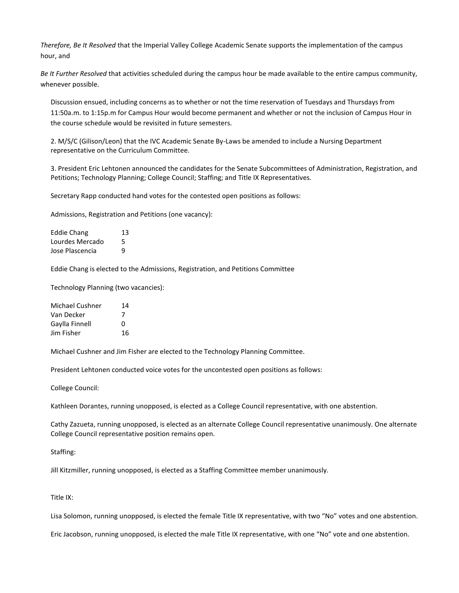*Therefore, Be It Resolved* that the Imperial Valley College Academic Senate supports the implementation of the campus hour, and

*Be It Further Resolved* that activities scheduled during the campus hour be made available to the entire campus community, whenever possible.

Discussion ensued, including concerns as to whether or not the time reservation of Tuesdays and Thursdays from 11:50a.m. to 1:15p.m for Campus Hour would become permanent and whether or not the inclusion of Campus Hour in the course schedule would be revisited in future semesters.

2. M/S/C (Gilison/Leon) that the IVC Academic Senate By-Laws be amended to include a Nursing Department representative on the Curriculum Committee.

3. President Eric Lehtonen announced the candidates for the Senate Subcommittees of Administration, Registration, and Petitions; Technology Planning; College Council; Staffing; and Title IX Representatives.

Secretary Rapp conducted hand votes for the contested open positions as follows:

Admissions, Registration and Petitions (one vacancy):

| <b>Eddie Chang</b> | 13 |
|--------------------|----|
| Lourdes Mercado    | 5  |
| Jose Plascencia    | q  |

Eddie Chang is elected to the Admissions, Registration, and Petitions Committee

Technology Planning (two vacancies):

| Michael Cushner | 14 |
|-----------------|----|
| Van Decker      | 7  |
| Gaylla Finnell  | O  |
| Jim Fisher      | 16 |

Michael Cushner and Jim Fisher are elected to the Technology Planning Committee.

President Lehtonen conducted voice votes for the uncontested open positions as follows:

College Council:

Kathleen Dorantes, running unopposed, is elected as a College Council representative, with one abstention.

Cathy Zazueta, running unopposed, is elected as an alternate College Council representative unanimously. One alternate College Council representative position remains open.

Staffing:

Jill Kitzmiller, running unopposed, is elected as a Staffing Committee member unanimously.

Title IX:

Lisa Solomon, running unopposed, is elected the female Title IX representative, with two "No" votes and one abstention.

Eric Jacobson, running unopposed, is elected the male Title IX representative, with one "No" vote and one abstention.